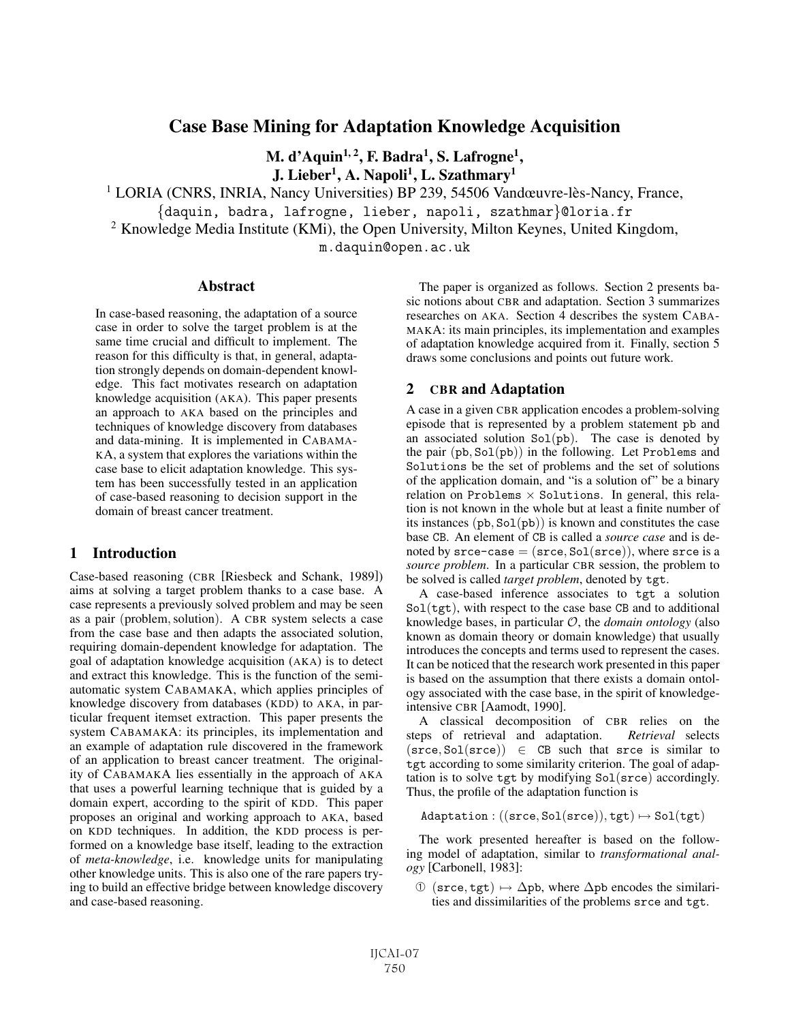# Case Base Mining for Adaptation Knowledge Acquisition

M. d'Aquin<sup>1, 2</sup>, F. Badra<sup>1</sup>, S. Lafrogne<sup>1</sup>, J. Lieber<sup>1</sup>, A. Napoli<sup>1</sup>, L. Szathmary<sup>1</sup>

<sup>1</sup> LORIA (CNRS, INRIA, Nancy Universities) BP 239, 54506 Vandœuvre-lès-Nancy, France,

{daquin, badra, lafrogne, lieber, napoli, szathmar}@loria.fr

<sup>2</sup> Knowledge Media Institute (KMi), the Open University, Milton Keynes, United Kingdom,

m.daquin@open.ac.uk

#### Abstract

In case-based reasoning, the adaptation of a source case in order to solve the target problem is at the same time crucial and difficult to implement. The reason for this difficulty is that, in general, adaptation strongly depends on domain-dependent knowledge. This fact motivates research on adaptation knowledge acquisition (AKA). This paper presents an approach to AKA based on the principles and techniques of knowledge discovery from databases and data-mining. It is implemented in CABAMA-KA, a system that explores the variations within the case base to elicit adaptation knowledge. This system has been successfully tested in an application of case-based reasoning to decision support in the domain of breast cancer treatment.

## 1 Introduction

Case-based reasoning (CBR [Riesbeck and Schank, 1989]) aims at solving a target problem thanks to a case base. A case represents a previously solved problem and may be seen as a pair (problem,solution). A CBR system selects a case from the case base and then adapts the associated solution, requiring domain-dependent knowledge for adaptation. The goal of adaptation knowledge acquisition (AKA) is to detect and extract this knowledge. This is the function of the semiautomatic system CABAMAKA, which applies principles of knowledge discovery from databases (KDD) to AKA, in particular frequent itemset extraction. This paper presents the system CABAMAKA: its principles, its implementation and an example of adaptation rule discovered in the framework of an application to breast cancer treatment. The originality of CABAMAKA lies essentially in the approach of AKA that uses a powerful learning technique that is guided by a domain expert, according to the spirit of KDD. This paper proposes an original and working approach to AKA, based on KDD techniques. In addition, the KDD process is performed on a knowledge base itself, leading to the extraction of *meta-knowledge*, i.e. knowledge units for manipulating other knowledge units. This is also one of the rare papers trying to build an effective bridge between knowledge discovery and case-based reasoning.

The paper is organized as follows. Section 2 presents basic notions about CBR and adaptation. Section 3 summarizes researches on AKA. Section 4 describes the system CABA-MAKA: its main principles, its implementation and examples of adaptation knowledge acquired from it. Finally, section 5 draws some conclusions and points out future work.

### 2 CBR and Adaptation

A case in a given CBR application encodes a problem-solving episode that is represented by a problem statement pb and an associated solution  $Sol(pb)$ . The case is denoted by the pair  $(\text{pb}, \text{Sol}(\text{pb}))$  in the following. Let Problems and Solutions be the set of problems and the set of solutions of the application domain, and "is a solution of" be a binary relation on Problems  $\times$  Solutions. In general, this relation is not known in the whole but at least a finite number of its instances  $(\text{pb}, \text{Sol}(\text{pb}))$  is known and constitutes the case base CB. An element of CB is called a *source case* and is denoted by  $\text{srce-case} = (\text{srce}, \text{Sol}(\text{srce})),$  where  $\text{srce}$  is a *source problem*. In a particular CBR session, the problem to be solved is called *target problem*, denoted by tgt.

A case-based inference associates to tgt a solution  $Sol(tgt)$ , with respect to the case base CB and to additional knowledge bases, in particular O, the *domain ontology* (also known as domain theory or domain knowledge) that usually introduces the concepts and terms used to represent the cases. It can be noticed that the research work presented in this paper is based on the assumption that there exists a domain ontology associated with the case base, in the spirit of knowledgeintensive CBR [Aamodt, 1990].

A classical decomposition of CBR relies on the steps of retrieval and adaptation. *Retrieval* selects  $(srce, Sol(srce)) \in CB$  such that srce is similar to tgt according to some similarity criterion. The goal of adaptation is to solve tgt by modifying Sol(srce) accordingly. Thus, the profile of the adaptation function is

 $Adaptation: ((srce, Sol(srce)), tgt) \mapsto Sol(tgt)$ 

The work presented hereafter is based on the following model of adaptation, similar to *transformational analogy* [Carbonell, 1983]:

 $\circled{1}$  (srce, tgt)  $\mapsto \Delta$ pb, where  $\Delta$ pb encodes the similarities and dissimilarities of the problems srce and tgt.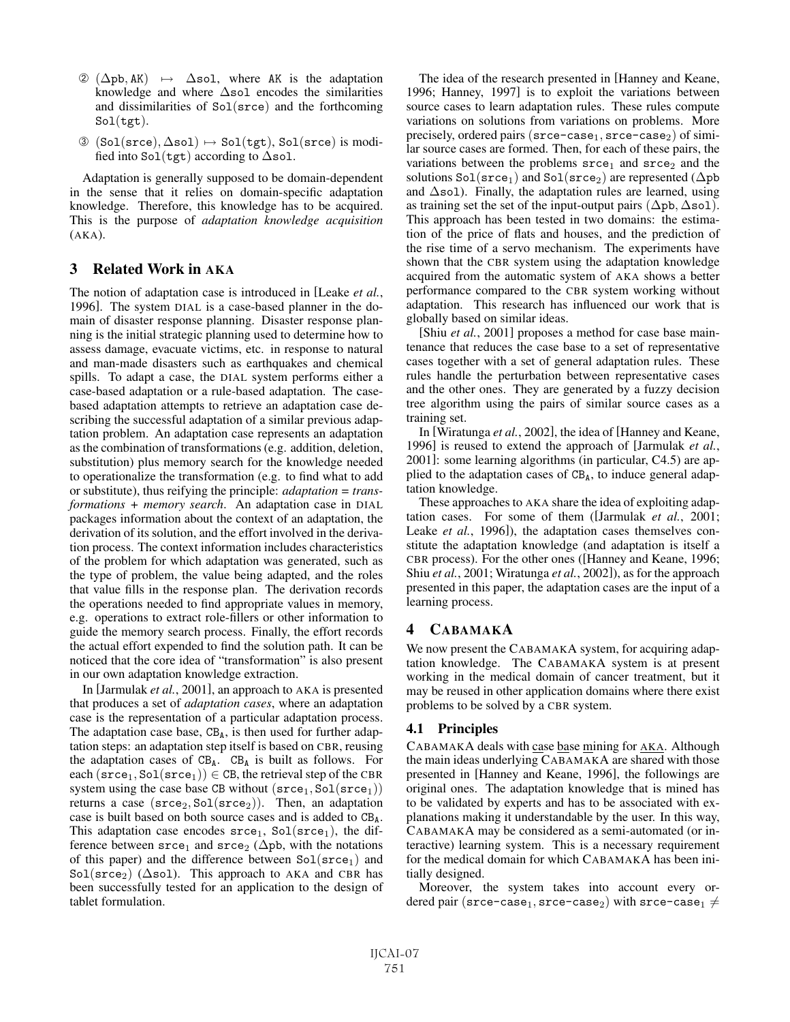- $\textcircled{2}$  ( $\Delta$ pb, AK)  $\mapsto$   $\Delta$ sol, where AK is the adaptation knowledge and where  $\Delta$ sol encodes the similarities and dissimilarities of Sol(srce) and the forthcoming  $Sol(tgt).$
- $\textcircled{3}$  (Sol(srce),  $\Delta$ sol)  $\mapsto$  Sol(tgt), Sol(srce) is modified into  $Sol(tgt)$  according to  $\Delta$ sol.

Adaptation is generally supposed to be domain-dependent in the sense that it relies on domain-specific adaptation knowledge. Therefore, this knowledge has to be acquired. This is the purpose of *adaptation knowledge acquisition* (AKA).

## 3 Related Work in AKA

The notion of adaptation case is introduced in [Leake *et al.*, 1996]. The system DIAL is a case-based planner in the domain of disaster response planning. Disaster response planning is the initial strategic planning used to determine how to assess damage, evacuate victims, etc. in response to natural and man-made disasters such as earthquakes and chemical spills. To adapt a case, the DIAL system performs either a case-based adaptation or a rule-based adaptation. The casebased adaptation attempts to retrieve an adaptation case describing the successful adaptation of a similar previous adaptation problem. An adaptation case represents an adaptation as the combination of transformations (e.g. addition, deletion, substitution) plus memory search for the knowledge needed to operationalize the transformation (e.g. to find what to add or substitute), thus reifying the principle: *adaptation = transformations + memory search*. An adaptation case in DIAL packages information about the context of an adaptation, the derivation of its solution, and the effort involved in the derivation process. The context information includes characteristics of the problem for which adaptation was generated, such as the type of problem, the value being adapted, and the roles that value fills in the response plan. The derivation records the operations needed to find appropriate values in memory, e.g. operations to extract role-fillers or other information to guide the memory search process. Finally, the effort records the actual effort expended to find the solution path. It can be noticed that the core idea of "transformation" is also present in our own adaptation knowledge extraction.

In [Jarmulak *et al.*, 2001], an approach to AKA is presented that produces a set of *adaptation cases*, where an adaptation case is the representation of a particular adaptation process. The adaptation case base,  $CB_A$ , is then used for further adaptation steps: an adaptation step itself is based on CBR, reusing the adaptation cases of  $CB_A$ .  $CB_A$  is built as follows. For each  $(\text{srce}_1, \text{Sol}(\text{srce}_1)) \in \text{CB}$ , the retrieval step of the CBR system using the case base CB without  $(\text{srce}_1, \text{Sol}(\text{srce}_1))$ returns a case  $(\text{srce}_2, \text{Sol}(\text{srce}_2))$ . Then, an adaptation case is built based on both source cases and is added to  $CB_A$ . This adaptation case encodes  $\text{srce}_1$ ,  $\text{Sol}(\text{srce}_1)$ , the difference between  $\text{srce}_1$  and  $\text{srce}_2$  ( $\Delta$ pb, with the notations of this paper) and the difference between  $Sol(\text{srce}_1)$  and Sol( $\text{srce}_2$ ) ( $\Delta$ sol). This approach to AKA and CBR has been successfully tested for an application to the design of tablet formulation.

The idea of the research presented in [Hanney and Keane, 1996; Hanney, 1997] is to exploit the variations between source cases to learn adaptation rules. These rules compute variations on solutions from variations on problems. More precisely, ordered pairs ( $\text{srce-case}_1, \text{srce-case}_2$ ) of similar source cases are formed. Then, for each of these pairs, the variations between the problems  $\text{srce}_1$  and  $\text{srce}_2$  and the solutions  $Sol(\text{srce}_1)$  and  $Sol(\text{srce}_2)$  are represented ( $\Delta pb$ and  $\Delta$ sol). Finally, the adaptation rules are learned, using as training set the set of the input-output pairs  $(\Delta pb, \Delta sol)$ . This approach has been tested in two domains: the estimation of the price of flats and houses, and the prediction of the rise time of a servo mechanism. The experiments have shown that the CBR system using the adaptation knowledge acquired from the automatic system of AKA shows a better performance compared to the CBR system working without adaptation. This research has influenced our work that is globally based on similar ideas.

[Shiu *et al.*, 2001] proposes a method for case base maintenance that reduces the case base to a set of representative cases together with a set of general adaptation rules. These rules handle the perturbation between representative cases and the other ones. They are generated by a fuzzy decision tree algorithm using the pairs of similar source cases as a training set.

In [Wiratunga *et al.*, 2002], the idea of [Hanney and Keane, 1996] is reused to extend the approach of [Jarmulak *et al.*, 2001]: some learning algorithms (in particular, C4.5) are applied to the adaptation cases of  $CB<sub>A</sub>$ , to induce general adaptation knowledge.

These approaches to AKA share the idea of exploiting adaptation cases. For some of them ([Jarmulak *et al.*, 2001; Leake *et al.*, 1996]), the adaptation cases themselves constitute the adaptation knowledge (and adaptation is itself a CBR process). For the other ones ([Hanney and Keane, 1996; Shiu *et al.*, 2001; Wiratunga *et al.*, 2002]), as for the approach presented in this paper, the adaptation cases are the input of a learning process.

## 4 CABAMAKA

We now present the CABAMAKA system, for acquiring adaptation knowledge. The CABAMAKA system is at present working in the medical domain of cancer treatment, but it may be reused in other application domains where there exist problems to be solved by a CBR system.

## 4.1 Principles

CABAMAKA deals with case base mining for AKA. Although the main ideas underlying CABAMAKA are shared with those presented in [Hanney and Keane, 1996], the followings are original ones. The adaptation knowledge that is mined has to be validated by experts and has to be associated with explanations making it understandable by the user. In this way, CABAMAKA may be considered as a semi-automated (or interactive) learning system. This is a necessary requirement for the medical domain for which CABAMAKA has been initially designed.

Moreover, the system takes into account every ordered pair (srce-case<sub>1</sub>, srce-case<sub>2</sub>) with srce-case<sub>1</sub>  $\neq$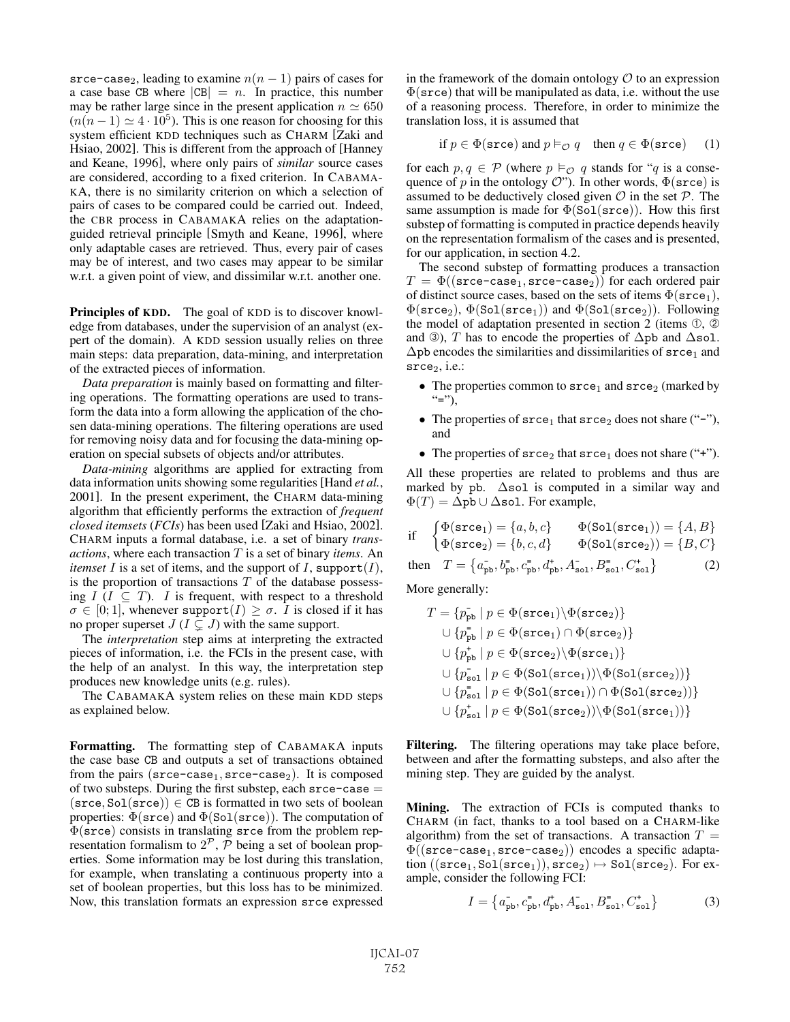srce-case<sub>2</sub>, leading to examine  $n(n - 1)$  pairs of cases for a case base CB where  $|CB| = n$ . In practice, this number may be rather large since in the present application  $n \approx 650$  $(n(n-1) \simeq 4 \cdot 10^5)$ . This is one reason for choosing for this system efficient KDD techniques such as CHARM [Zaki and Hsiao, 2002]. This is different from the approach of [Hanney and Keane, 1996], where only pairs of *similar* source cases are considered, according to a fixed criterion. In CABAMA-KA, there is no similarity criterion on which a selection of pairs of cases to be compared could be carried out. Indeed, the CBR process in CABAMAKA relies on the adaptationguided retrieval principle [Smyth and Keane, 1996], where only adaptable cases are retrieved. Thus, every pair of cases may be of interest, and two cases may appear to be similar w.r.t. a given point of view, and dissimilar w.r.t. another one.

Principles of KDD. The goal of KDD is to discover knowledge from databases, under the supervision of an analyst (expert of the domain). A KDD session usually relies on three main steps: data preparation, data-mining, and interpretation of the extracted pieces of information.

*Data preparation* is mainly based on formatting and filtering operations. The formatting operations are used to transform the data into a form allowing the application of the chosen data-mining operations. The filtering operations are used for removing noisy data and for focusing the data-mining operation on special subsets of objects and/or attributes.

*Data-mining* algorithms are applied for extracting from data information units showing some regularities [Hand *et al.*, 2001]. In the present experiment, the CHARM data-mining algorithm that efficiently performs the extraction of *frequent closed itemsets* (*FCIs*) has been used [Zaki and Hsiao, 2002]. CHARM inputs a formal database, i.e. a set of binary *transactions*, where each transaction T is a set of binary *items*. An *itemset* I is a set of items, and the support of I, support  $(I)$ , is the proportion of transactions  $T$  of the database possessing  $I$  ( $I \subseteq T$ ). I is frequent, with respect to a threshold  $\sigma \in [0; 1]$ , whenever support $(I) \geq \sigma$ . I is closed if it has no proper superset  $J (I \subsetneq J)$  with the same support.

The *interpretation* step aims at interpreting the extracted pieces of information, i.e. the FCIs in the present case, with the help of an analyst. In this way, the interpretation step produces new knowledge units (e.g. rules).

The CABAMAKA system relies on these main KDD steps as explained below.

Formatting. The formatting step of CABAMAKA inputs the case base CB and outputs a set of transactions obtained from the pairs ( $\text{srce-case}_1, \text{srce-case}_2$ ). It is composed of two substeps. During the first substep, each  $\text{srce--case} =$  $(\text{srce}, \text{Sol}(\text{srce})) \in \text{CB}$  is formatted in two sets of boolean properties:  $\Phi(\text{srce})$  and  $\Phi(\text{Sol}(\text{srce}))$ . The computation of  $\Phi(\text{srce})$  consists in translating srce from the problem representation formalism to  $2^{\mathcal{P}}$ ,  $\bar{\mathcal{P}}$  being a set of boolean properties. Some information may be lost during this translation, for example, when translating a continuous property into a set of boolean properties, but this loss has to be minimized. Now, this translation formats an expression srce expressed

in the framework of the domain ontology  $\mathcal O$  to an expression  $\Phi(\text{srce})$  that will be manipulated as data, i.e. without the use of a reasoning process. Therefore, in order to minimize the translation loss, it is assumed that

$$
\text{if } p \in \Phi(\texttt{srce}) \text{ and } p \vDash_{\mathcal{O}} q \quad \text{then } q \in \Phi(\texttt{srce}) \quad (1)
$$

for each  $p, q \in \mathcal{P}$  (where  $p \vDash_{\mathcal{O}} q$  stands for "q is a consequence of p in the ontology  $\mathcal{O}$ "). In other words,  $\Phi(\text{srce})$  is assumed to be deductively closed given  $\mathcal O$  in the set  $\mathcal P$ . The same assumption is made for  $\Phi(Sol(srce))$ . How this first substep of formatting is computed in practice depends heavily on the representation formalism of the cases and is presented, for our application, in section 4.2.

The second substep of formatting produces a transaction  $T = \Phi((\text{srce-case}_1, \text{srce-case}_2))$  for each ordered pair of distinct source cases, based on the sets of items  $\Phi(\text{srce}_1)$ ,  $\Phi(\texttt{srce}_2), \Phi(\texttt{Sol}(\texttt{srce}_1))$  and  $\Phi(\texttt{Sol}(\texttt{srce}_2)).$  Following the model of adaptation presented in section 2 (items ①, ② and ③), T has to encode the properties of  $\Delta$ pb and  $\Delta$ sol.  $\Delta$ pb encodes the similarities and dissimilarities of  $\text{srce}_1$  and  $\text{srce}_2$ , i.e.:

- The properties common to  $\text{srce}_1$  and  $\text{srce}_2$  (marked by  $"="$ "),
- The properties of  $\text{srce}_1$  that  $\text{srce}_2$  does not share ("-"), and
- The properties of  $\text{srce}_2$  that  $\text{srce}_1$  does not share ("+").

All these properties are related to problems and thus are marked by pb.  $\Delta$ sol is computed in a similar way and  $\Phi(T)=\Delta$ pb ∪  $\Delta$ sol. For example,

$$
\begin{array}{ll}\n\text{if} & \begin{cases} \Phi(\texttt{srce}_1) = \{a, b, c\} \\ \Phi(\texttt{srce}_2) = \{b, c, d\} \end{cases} & \Phi(\texttt{Sol}(\texttt{srce}_2)) = \{B, C\}\n\end{array}\n\end{array}
$$

then 
$$
T = \{a_{\rm pb}^-, b_{\rm pb}^-, c_{\rm pb}^-, d_{\rm pb}^+, A_{\rm sol}^-, B_{\rm sol}^-, C_{\rm sol}^+\}
$$
 (2)

More generally:

$$
T = \{p_{\text{pb}} \mid p \in \Phi(\text{srce}_1) \setminus \Phi(\text{srce}_2)\}
$$
  
\n
$$
\cup \{p_{\text{pb}}^+ \mid p \in \Phi(\text{srce}_1) \cap \Phi(\text{srce}_2)\}
$$
  
\n
$$
\cup \{p_{\text{pb}}^+ \mid p \in \Phi(\text{srce}_2) \setminus \Phi(\text{srce}_1)\}
$$
  
\n
$$
\cup \{p_{\text{sol}}^- \mid p \in \Phi(\text{Sol}(\text{srce}_1)) \setminus \Phi(\text{Sol}(\text{srce}_2))\}
$$
  
\n
$$
\cup \{p_{\text{sol}}^+ \mid p \in \Phi(\text{Sol}(\text{srce}_1)) \cap \Phi(\text{Sol}(\text{srce}_2))\}
$$
  
\n
$$
\cup \{p_{\text{sol}}^+ \mid p \in \Phi(\text{Sol}(\text{srce}_2)) \setminus \Phi(\text{Sol}(\text{srce}_1))\}
$$

Filtering. The filtering operations may take place before, between and after the formatting substeps, and also after the mining step. They are guided by the analyst.

Mining. The extraction of FCIs is computed thanks to CHARM (in fact, thanks to a tool based on a CHARM-like algorithm) from the set of transactions. A transaction  $T =$  $\Phi((\texttt{srce-case}_1, \texttt{srce-case}_2))$  encodes a specific adaptation  $((\text{srce}_1, \text{Sol}(\text{srce}_1)), \text{srce}_2) \mapsto \text{Sol}(\text{srce}_2)$ . For example, consider the following FCI:

$$
I = \left\{ a_{\rm pb}^-, c_{\rm pb}^-, d_{\rm pb}^+, A_{\rm sol}^-, B_{\rm sol}^-, C_{\rm sol}^+ \right\} \tag{3}
$$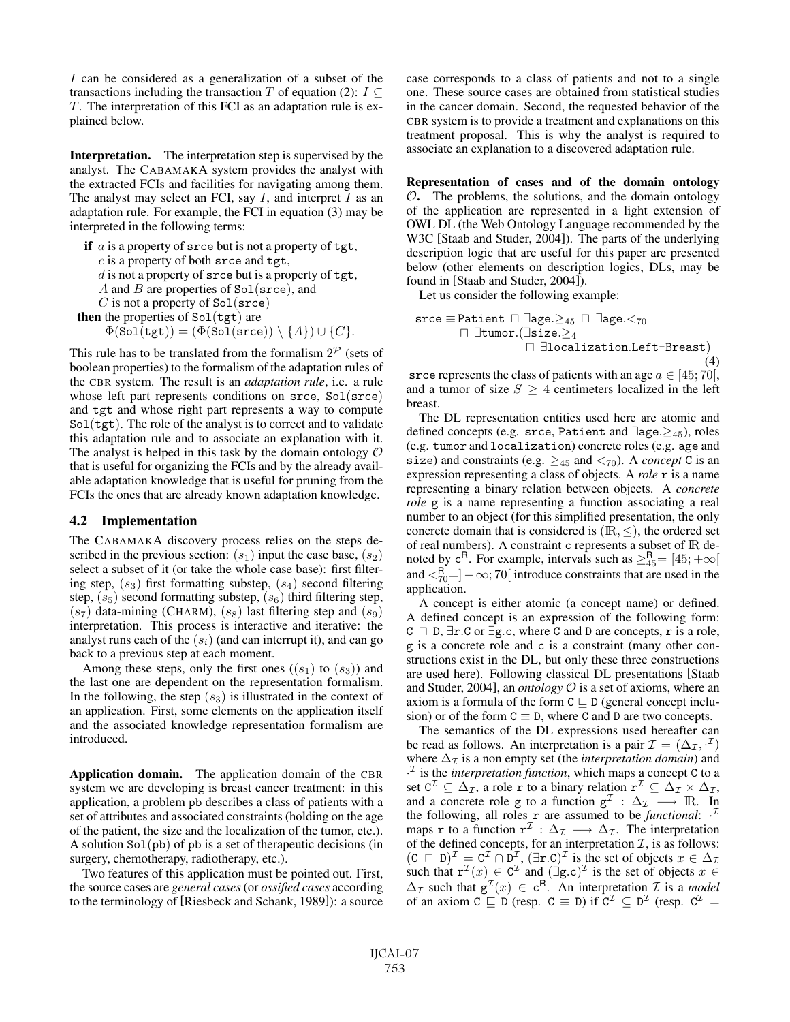I can be considered as a generalization of a subset of the transactions including the transaction T of equation (2):  $I \subseteq$ T. The interpretation of this FCI as an adaptation rule is explained below.

Interpretation. The interpretation step is supervised by the analyst. The CABAMAKA system provides the analyst with the extracted FCIs and facilities for navigating among them. The analyst may select an FCI, say  $I$ , and interpret  $I$  as an adaptation rule. For example, the FCI in equation (3) may be interpreted in the following terms:

```
if a is a property of srce but is not a property of tgt,
    c is a property of both srce and tgt,
    d is not a property of srce but is a property of tgt,
    A and B are properties of Sol(srce), and
    C is not a property of Sol(srce)
then the properties of Sol(tgt) are
      \Phi(\texttt{Sol(tgt)}) = (\Phi(\texttt{Sol}(\texttt{srce})) \setminus \{A\}) \cup \{C\}.
```
This rule has to be translated from the formalism  $2^{\mathcal{P}}$  (sets of boolean properties) to the formalism of the adaptation rules of the CBR system. The result is an *adaptation rule*, i.e. a rule whose left part represents conditions on srce, Sol(srce) and tgt and whose right part represents a way to compute  $Sol(tgt)$ . The role of the analyst is to correct and to validate this adaptation rule and to associate an explanation with it. The analyst is helped in this task by the domain ontology  $\mathcal O$ that is useful for organizing the FCIs and by the already available adaptation knowledge that is useful for pruning from the FCIs the ones that are already known adaptation knowledge.

#### 4.2 Implementation

The CABAMAKA discovery process relies on the steps described in the previous section:  $(s_1)$  input the case base,  $(s_2)$ select a subset of it (or take the whole case base): first filtering step,  $(s_3)$  first formatting substep,  $(s_4)$  second filtering step,  $(s_5)$  second formatting substep,  $(s_6)$  third filtering step,  $(s<sub>7</sub>)$  data-mining (CHARM),  $(s<sub>8</sub>)$  last filtering step and  $(s<sub>9</sub>)$ interpretation. This process is interactive and iterative: the analyst runs each of the  $(s_i)$  (and can interrupt it), and can go back to a previous step at each moment.

Among these steps, only the first ones  $((s_1)$  to  $(s_3))$  and the last one are dependent on the representation formalism. In the following, the step  $(s_3)$  is illustrated in the context of an application. First, some elements on the application itself and the associated knowledge representation formalism are introduced.

Application domain. The application domain of the CBR system we are developing is breast cancer treatment: in this application, a problem pb describes a class of patients with a set of attributes and associated constraints (holding on the age of the patient, the size and the localization of the tumor, etc.). A solution  $Sol(pb)$  of pb is a set of therapeutic decisions (in surgery, chemotherapy, radiotherapy, etc.).

Two features of this application must be pointed out. First, the source cases are *general cases* (or *ossified cases* according to the terminology of [Riesbeck and Schank, 1989]): a source case corresponds to a class of patients and not to a single one. These source cases are obtained from statistical studies in the cancer domain. Second, the requested behavior of the CBR system is to provide a treatment and explanations on this treatment proposal. This is why the analyst is required to associate an explanation to a discovered adaptation rule.

Representation of cases and of the domain ontology  $O$ . The problems, the solutions, and the domain ontology of the application are represented in a light extension of OWL DL (the Web Ontology Language recommended by the W3C [Staab and Studer, 2004]). The parts of the underlying description logic that are useful for this paper are presented below (other elements on description logics, DLs, may be found in [Staab and Studer, 2004]).

Let us consider the following example:

srce  $\equiv$  Patient  $\Box$   $\exists$ age. $\geq_{45}$   $\Box$   $\exists$ age. $\leq_{70}$  ∃tumor.(∃size.≥<sup>4</sup>  ∃localization.Left-Breast)  $(4)$ 

srce represents the class of patients with an age  $a \in [45, 70]$ , and a tumor of size  $S \geq 4$  centimeters localized in the left breast.

The DL representation entities used here are atomic and defined concepts (e.g. srce, Patient and ∃age.≥45), roles (e.g. tumor and localization) concrete roles (e.g. age and size) and constraints (e.g.  $\geq_{45}$  and  $\lt_{70}$ ). A *concept* C is an expression representing a class of objects. A *role* r is a name representing a binary relation between objects. A *concrete role* g is a name representing a function associating a real number to an object (for this simplified presentation, the only concrete domain that is considered is  $(\mathbb{R}, \leq)$ , the ordered set of real numbers). A constraint c represents a subset of IR denoted by  $c^R$ . For example, intervals such as  $\geq_{45}^R = [45; +\infty[$ and  $\lt^R_{70}$ =]  $-\infty$ ; 70[ introduce constraints that are used in the application.

A concept is either atomic (a concept name) or defined. A defined concept is an expression of the following form:  $C \cap D$ ,  $\exists r.C$  or  $\exists g.c$ , where C and D are concepts, r is a role, g is a concrete role and c is a constraint (many other constructions exist in the DL, but only these three constructions are used here). Following classical DL presentations [Staab and Studer, 2004], an *ontology*  $O$  is a set of axioms, where an axiom is a formula of the form  $C \sqsubseteq D$  (general concept inclusion) or of the form  $C \equiv D$ , where C and D are two concepts.

The semantics of the DL expressions used hereafter can be read as follows. An interpretation is a pair  $\mathcal{I} = (\Delta_{\mathcal{I}}, \mathcal{I})$ where  $\Delta_{\mathcal{I}}$  is a non empty set (the *interpretation domain*) and  $\cdot$ <sup>1</sup> is the *interpretation function*, which maps a concept C to a set  $C^{\mathcal{I}} \subseteq \Delta_{\mathcal{I}}$ , a role r to a binary relation  $r^{\mathcal{I}} \subseteq \Delta_{\mathcal{I}} \times \Delta_{\mathcal{I}}$ , and a concrete role g to a function  $g^{\mathcal{I}} : \Delta_{\mathcal{I}} \longrightarrow \mathbb{R}$ . In the following, all roles  $\bf{r}$  are assumed to be *functional*:  $\cdot$ <sup>*T*</sup> maps r to a function  $r^{\mathcal{I}} : \Delta_{\mathcal{I}} \longrightarrow \Delta_{\mathcal{I}}$ . The interpretation of the defined concepts, for an interpretation  $\mathcal{I}$ , is as follows:  $(C \cap D)^{\mathcal{I}} = C^{\mathcal{I}} \cap D^{\mathcal{I}}$ ,  $(\exists x.C)^{\mathcal{I}}$  is the set of objects  $x \in \Delta_{\mathcal{I}}$ such that  $\mathbf{r}^{\mathcal{I}}(x) \in \mathbb{C}^{\mathcal{I}}$  and  $(\exists g.c)^{\mathcal{I}}$  is the set of objects  $x \in$  $\Delta_{\mathcal{I}}$  such that  $g^{\mathcal{I}}(x) \in c^{\mathsf{R}}$ . An interpretation  $\mathcal{I}$  is a *model* of an axiom  $C \subseteq D$  (resp.  $C \equiv D$ ) if  $C^{\mathcal{I}} \subseteq D^{\mathcal{I}}$  (resp.  $C^{\mathcal{I}} =$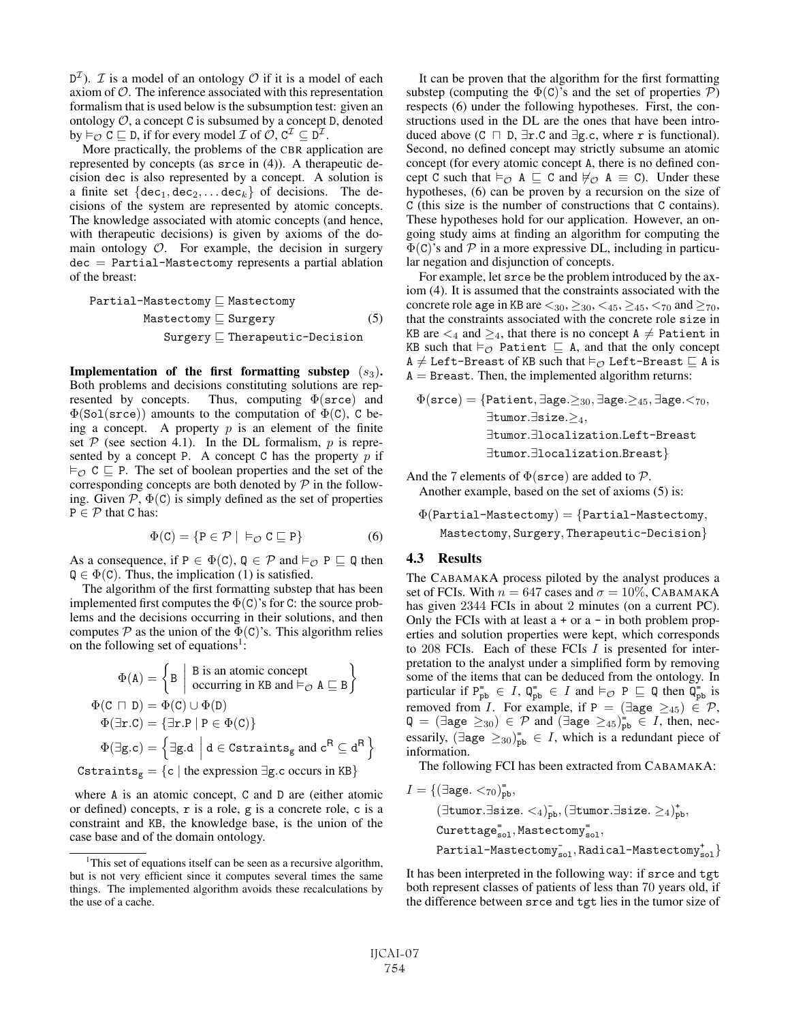$D^{\mathcal{I}}$ ). *T* is a model of an ontology *O* if it is a model of each axiom of  $O$ . The inference associated with this representation formalism that is used below is the subsumption test: given an ontology  $O$ , a concept C is subsumed by a concept D, denoted by  $\models_{\mathcal{O}} C \sqsubseteq D$ , if for every model  $\mathcal{I}$  of  $\mathcal{O}, C^{\mathcal{I}} \subseteq D^{\mathcal{I}}$ .

More practically, the problems of the CBR application are represented by concepts (as srce in (4)). A therapeutic decision dec is also represented by a concept. A solution is a finite set  $\{dec_1, dec_2,... dec_k\}$  of decisions. The decisions of the system are represented by atomic concepts. The knowledge associated with atomic concepts (and hence, with therapeutic decisions) is given by axioms of the domain ontology  $O$ . For example, the decision in surgery dec = Partial-Mastectomy represents a partial ablation of the breast:

| Partial-Mastectomy | $\sqsubseteq$ Mastertemp           | (5) |
|--------------------|------------------------------------|-----|
| Mastery            | $\sqsubseteq$ Therapeutic-Decision |     |

Implementation of the first formatting substep  $(s_3)$ . Both problems and decisions constituting solutions are represented by concepts. Thus, computing  $\Phi(\text{srce})$  and  $\Phi(Sol(srce))$  amounts to the computation of  $\Phi(C)$ , C being a concept. A property  $p$  is an element of the finite set  $P$  (see section 4.1). In the DL formalism,  $p$  is represented by a concept P. A concept C has the property  $p$  if  $\vDash_{\mathcal{O}} C \sqsubseteq P$ . The set of boolean properties and the set of the corresponding concepts are both denoted by  $P$  in the following. Given  $P$ ,  $\Phi(C)$  is simply defined as the set of properties  $P \in \mathcal{P}$  that C has:

$$
\Phi(C) = \{ P \in \mathcal{P} \mid \; \vDash_{\mathcal{O}} C \sqsubseteq P \} \tag{6}
$$

As a consequence, if  $P \in \Phi(C)$ ,  $Q \in \mathcal{P}$  and  $\models_{\mathcal{O}} P \sqsubseteq Q$  then  $Q \in \Phi(C)$ . Thus, the implication (1) is satisfied.

The algorithm of the first formatting substep that has been implemented first computes the  $\Phi(C)$ 's for C: the source problems and the decisions occurring in their solutions, and then computes  $P$  as the union of the  $\Phi(C)$ 's. This algorithm relies on the following set of equations<sup>1</sup>:

$$
\Phi(A) = \begin{cases} B & \text{B is an atomic concept} \\ \text{occurring in KB and } \vdash_{\mathcal{O}} A \sqsubseteq B \end{cases}
$$
\n
$$
\Phi(C \sqcap D) = \Phi(C) \cup \Phi(D)
$$
\n
$$
\Phi(\exists r.C) = \{\exists r.P \mid P \in \Phi(C)\}
$$
\n
$$
\Phi(\exists g.c) = \begin{cases} \exists g.d & \text{d} \in \text{Cstraints}_g \text{ and } c^R \subseteq d^R \end{cases}
$$
\n
$$
\text{Cstraints}_g = \{c \mid \text{the expression } \exists g.c \text{ occurs in KB}\}
$$

where A is an atomic concept, C and D are (either atomic or defined) concepts, r is a role, g is a concrete role, c is a constraint and KB, the knowledge base, is the union of the case base and of the domain ontology.

It can be proven that the algorithm for the first formatting substep (computing the  $\Phi(C)$ 's and the set of properties  $P$ ) respects (6) under the following hypotheses. First, the constructions used in the DL are the ones that have been introduced above ( $C \sqcap D$ ,  $\exists$ r.C and  $\exists$ g.c, where r is functional). Second, no defined concept may strictly subsume an atomic concept (for every atomic concept A, there is no defined concept C such that  $\models_{\mathcal{O}} A \sqsubseteq C$  and  $\not\models_{\mathcal{O}} A \equiv C$ ). Under these hypotheses, (6) can be proven by a recursion on the size of C (this size is the number of constructions that C contains). These hypotheses hold for our application. However, an ongoing study aims at finding an algorithm for computing the  $\Phi(C)$ 's and  $P$  in a more expressive DL, including in particular negation and disjunction of concepts.

For example, let srce be the problem introduced by the axiom (4). It is assumed that the constraints associated with the concrete role age in KB are  $\lt_{30}$ ,  $\geq_{30}$ ,  $\lt_{45}$ ,  $\geq_{45}$ ,  $\lt_{70}$  and  $\geq_{70}$ , that the constraints associated with the concrete role size in KB are  $\leq_4$  and  $\geq_4$ , that there is no concept A  $\neq$  Patient in KB such that  $\models_{\mathcal{O}}$  Patient  $\sqsubseteq$  A, and that the only concept  $A \neq$  Left-Breast of KB such that  $\models_{\mathcal{O}}$  Left-Breast  $\sqsubseteq$  A is  $A =$  Breast. Then, the implemented algorithm returns:

$$
\Phi(\texttt{srce}) = \{\texttt{Patternt}, \exists \texttt{age.} \geq_{30}, \exists \texttt{age.} \geq_{45}, \exists \texttt{age.} <_{70}, \\ \exists \texttt{tumor.} \exists \texttt{localization.} \texttt{Left-Breat} \\ \exists \texttt{tumor.} \exists \texttt{localization.} \texttt{Breat}\}
$$

And the 7 elements of  $\Phi(\text{srce})$  are added to  $\mathcal{P}$ . Another example, based on the set of axioms (5) is:

 $\Phi$ (Partial-Mastectomy) = {Partial-Mastectomy, Mastectomy, Surgery, Therapeutic-Decision}

#### 4.3 Results

The CABAMAKA process piloted by the analyst produces a set of FCIs. With  $n = 647$  cases and  $\sigma = 10\%$ , CABAMAKA has given 2344 FCIs in about 2 minutes (on a current PC). Only the FCIs with at least  $a + or a - in$  both problem properties and solution properties were kept, which corresponds to 208 FCIs. Each of these FCIs I is presented for interpretation to the analyst under a simplified form by removing some of the items that can be deduced from the ontology. In particular if  $P_{\text{pb}}^{\equiv} \in I$ ,  $Q_{\text{pb}}^{\equiv} \in I$  and  $\vDash_{\mathcal{O}} P \sqsubseteq Q$  then  $Q_{\text{pb}}^{\equiv}$  is<br>removed from I For example, if  $P = (\exists \text{see } \geq \infty) \in \mathcal{D}$ . removed from *I*. For example, if P =  $(\exists \text{age } \geq_{45}) \in \mathcal{P}$ ,  $\mathsf{Q} = (\exists \texttt{age} \geq_{30}) \in \mathcal{P}$  and  $(\exists \texttt{age} \geq_{45})^{\infty}_{\texttt{pb}} \in I$ , then, nec-<br>executive  $(\exists \texttt{age} \geq_{35})^{\infty} \in I$ , which is a redundant rises of essarily,  $(\exists \text{age } \geq_{30})_{\text{pb}}^{\dagger} \in I$ , which is a redundant piece of information information.

The following FCI has been extracted from CABAMAKA:

$$
I = \{(\exists \text{age.} <_{70})_{\text{pb}}^-, \newline (\exists \text{tumor.} \exists \text{size.} \leq_4)_{\text{pb}}^-, (\exists \text{tumor.} \exists \text{size.} \geq_4)_{\text{pb}}^+, \newline \text{Currentage}_{\text{sol}}^=, \text{Masteromy}_{\text{sol}}^-, \newline \text{Partial-Mastectomy}_{\text{sol}}^+, \text{Radioal-Mastectomy}_{\text{sol}}^+ \}
$$

It has been interpreted in the following way: if srce and tgt both represent classes of patients of less than 70 years old, if the difference between srce and tgt lies in the tumor size of

<sup>&</sup>lt;sup>1</sup>This set of equations itself can be seen as a recursive algorithm, but is not very efficient since it computes several times the same things. The implemented algorithm avoids these recalculations by the use of a cache.